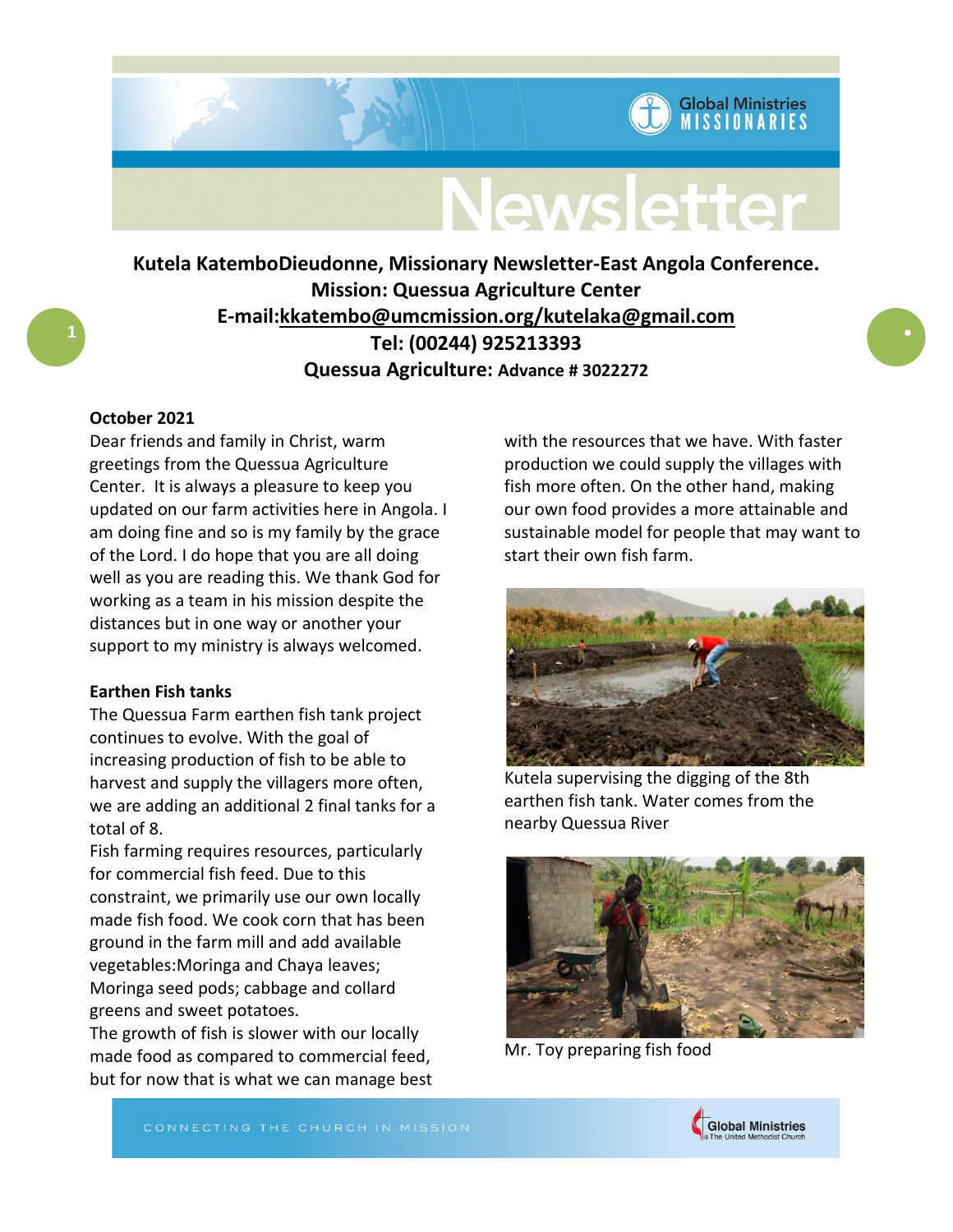

**Global Ministries MISSIONARIES** 

# **Kutela KatemboDieudonne, Missionary Newsletter-East Angola Conference. Mission: Quessua Agriculture Center E-mail:kkatembo@umcmission.org/kutelaka@gmail.com Tel: (00244) 925213393 Quessua Agriculture: Advance # 3022272**

## **October 2021**

**1**

Dear friends and family in Christ, warm greetings from the Quessua Agriculture Center. It is always a pleasure to keep you updated on our farm activities here in Angola. I am doing fine and so is my family by the grace of the Lord. I do hope that you are all doing well as you are reading this. We thank God for working as a team in his mission despite the distances but in one way or another your support to my ministry is always welcomed.

### **Earthen Fish tanks**

The Quessua Farm earthen fish tank project continues to evolve. With the goal of increasing production of fish to be able to harvest and supply the villagers more often, we are adding an additional 2 final tanks for a total of 8.

Fish farming requires resources, particularly for commercial fish feed. Due to this constraint, we primarily use our own locally made fish food. We cook corn that has been ground in the farm mill and add available vegetables:Moringa and Chaya leaves; Moringa seed pods; cabbage and collard greens and sweet potatoes.

The growth of fish is slower with our locally made food as compared to commercial feed, but for now that is what we can manage best with the resources that we have. With faster production we could supply the villages with fish more often. On the other hand, making our own food provides a more attainable and sustainable model for people that may want to start their own fish farm.



Kutela supervising the digging of the 8th earthen fish tank. Water comes from the nearby Quessua River



Mr. Toy preparing fish food

CONNECTING THE CHURCH IN MISSION

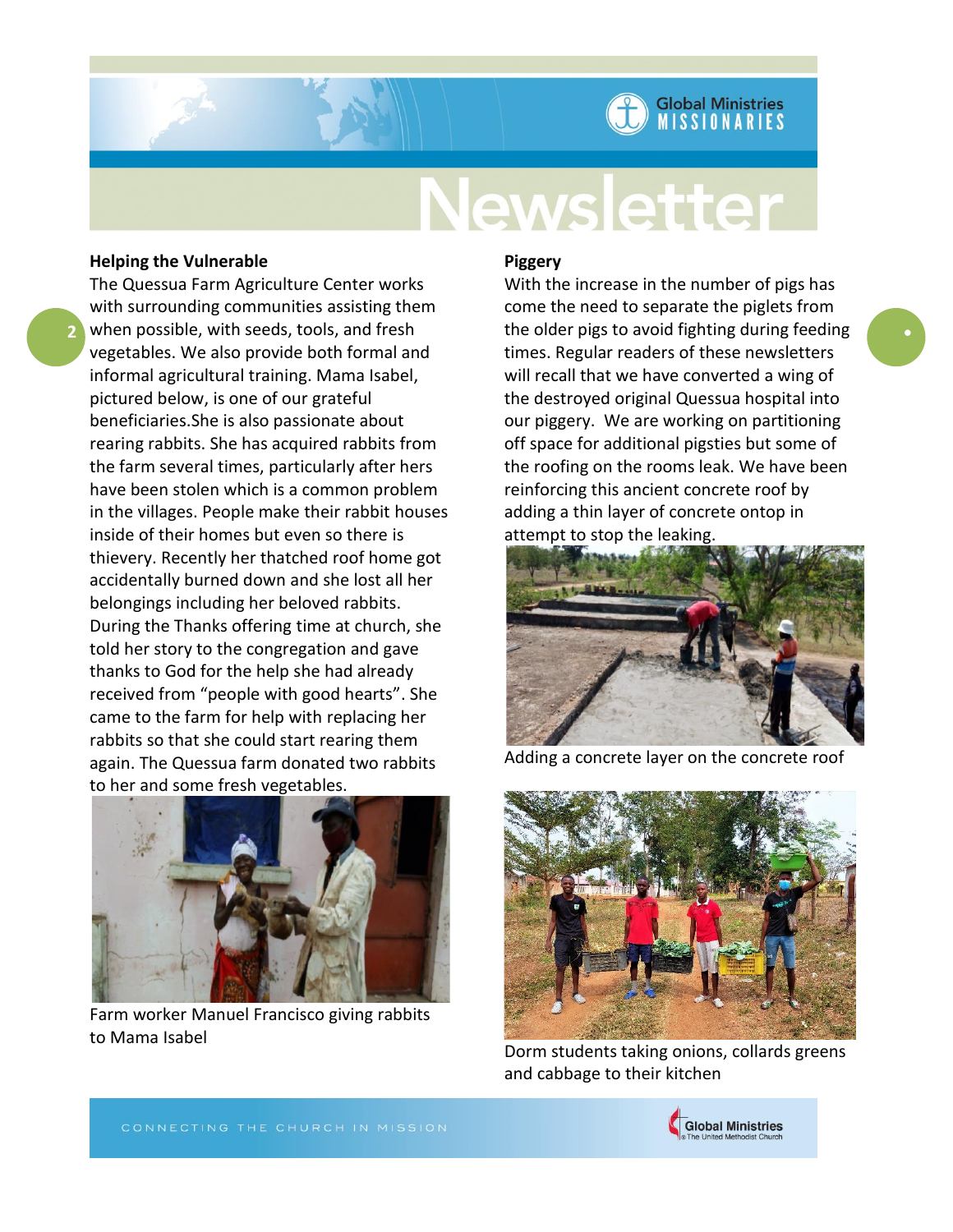# **Global Ministries MISSIONARIES**

# **Newsletter**

# **Helping the Vulnerable**

**2**

The Quessua Farm Agriculture Center works with surrounding communities assisting them when possible, with seeds, tools, and fresh vegetables. We also provide both formal and informal agricultural training. Mama Isabel, pictured below, is one of our grateful beneficiaries.She is also passionate about rearing rabbits. She has acquired rabbits from the farm several times, particularly after hers have been stolen which is a common problem in the villages. People make their rabbit houses inside of their homes but even so there is thievery. Recently her thatched roof home got accidentally burned down and she lost all her belongings including her beloved rabbits. During the Thanks offering time at church, she told her story to the congregation and gave thanks to God for the help she had already received from "people with good hearts". She came to the farm for help with replacing her rabbits so that she could start rearing them again. The Quessua farm donated two rabbits to her and some fresh vegetables.



Farm worker Manuel Francisco giving rabbits to Mama Isabel

### **Piggery**

With the increase in the number of pigs has come the need to separate the piglets from the older pigs to avoid fighting during feeding times. Regular readers of these newsletters will recall that we have converted a wing of the destroyed original Quessua hospital into our piggery. We are working on partitioning off space for additional pigsties but some of the roofing on the rooms leak. We have been reinforcing this ancient concrete roof by adding a thin layer of concrete ontop in attempt to stop the leaking.



Adding a concrete layer on the concrete roof



Dorm students taking onions, collards greens and cabbage to their kitchen